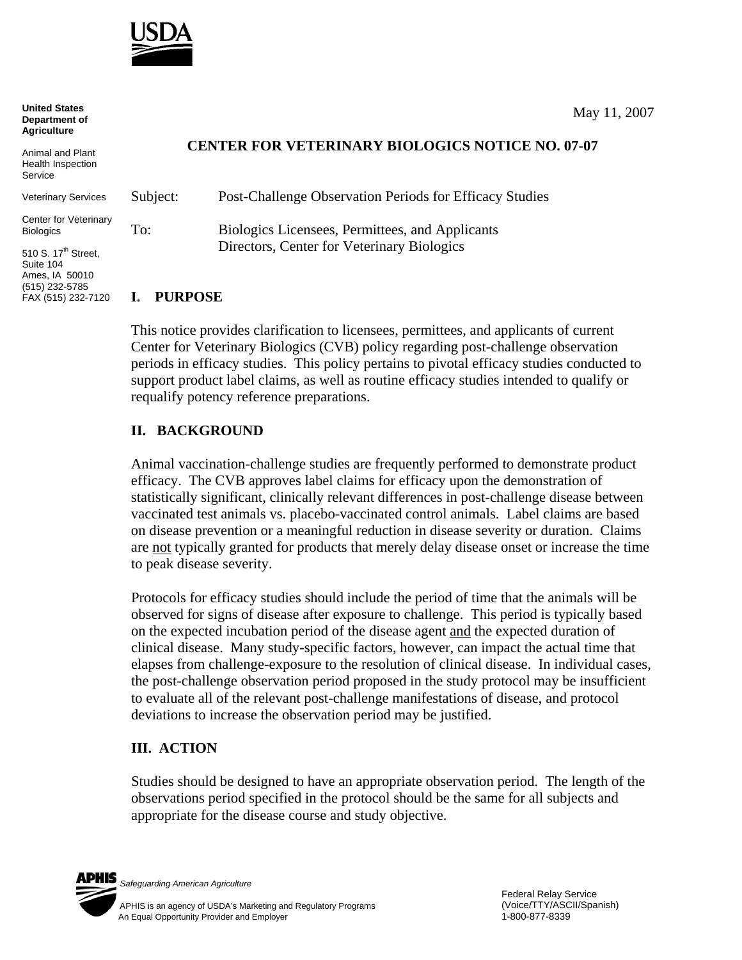

**United States Department of Agriculture**

Animal and Plant Health Inspection Service

Veterinary S

Center for V **Biologics** 

510 S.  $17^{th}$  S Suite 104 Ames, IA 50010 (515) 232-5785 FAX (515) 232-7120

## **CENTER FOR VETERINARY BIOLOGICS NOTICE NO. 07-07**

| ervices   | Subject: | Post-Challenge Observation Periods for Efficacy Studies |
|-----------|----------|---------------------------------------------------------|
| eterinary | To:      | Biologics Licensees, Permittees, and Applicants         |
| street.   |          | Directors, Center for Veterinary Biologics              |
| 010       |          |                                                         |

## **I. PURPOSE**

This notice provides clarification to licensees, permittees, and applicants of current Center for Veterinary Biologics (CVB) policy regarding post-challenge observation periods in efficacy studies. This policy pertains to pivotal efficacy studies conducted to support product label claims, as well as routine efficacy studies intended to qualify or requalify potency reference preparations.

## **II. BACKGROUND**

Animal vaccination-challenge studies are frequently performed to demonstrate product efficacy. The CVB approves label claims for efficacy upon the demonstration of statistically significant, clinically relevant differences in post-challenge disease between vaccinated test animals vs. placebo-vaccinated control animals. Label claims are based on disease prevention or a meaningful reduction in disease severity or duration. Claims are not typically granted for products that merely delay disease onset or increase the time to peak disease severity.

Protocols for efficacy studies should include the period of time that the animals will be observed for signs of disease after exposure to challenge. This period is typically based on the expected incubation period of the disease agent and the expected duration of clinical disease. Many study-specific factors, however, can impact the actual time that elapses from challenge-exposure to the resolution of clinical disease. In individual cases, the post-challenge observation period proposed in the study protocol may be insufficient to evaluate all of the relevant post-challenge manifestations of disease, and protocol deviations to increase the observation period may be justified.

## **III. ACTION**

Studies should be designed to have an appropriate observation period. The length of the observations period specified in the protocol should be the same for all subjects and appropriate for the disease course and study objective.



*Safeguarding American Agriculture*